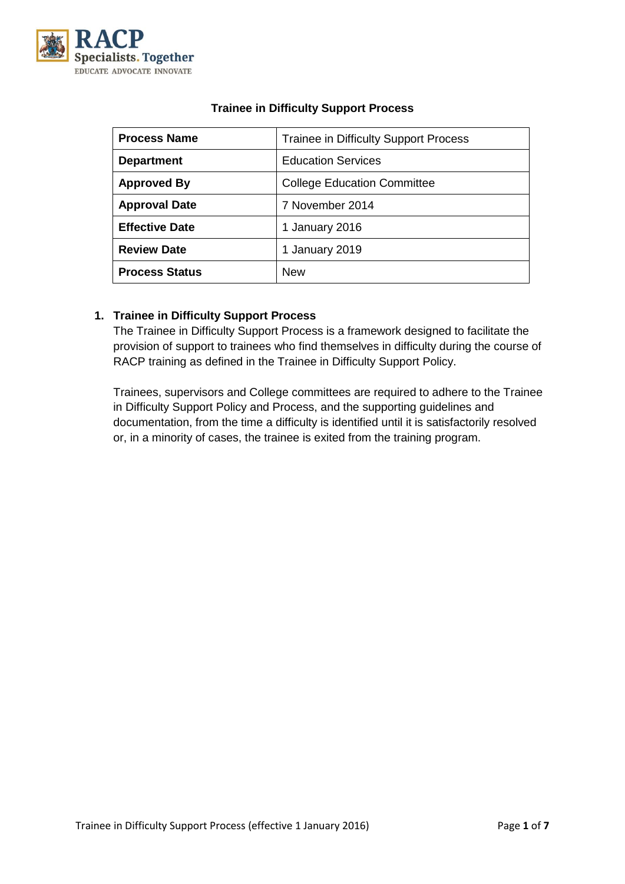

| <b>Process Name</b>   | <b>Trainee in Difficulty Support Process</b> |  |
|-----------------------|----------------------------------------------|--|
| <b>Department</b>     | <b>Education Services</b>                    |  |
| <b>Approved By</b>    | <b>College Education Committee</b>           |  |
| <b>Approval Date</b>  | 7 November 2014                              |  |
| <b>Effective Date</b> | 1 January 2016                               |  |
| <b>Review Date</b>    | 1 January 2019                               |  |
| <b>Process Status</b> | <b>New</b>                                   |  |

# **Trainee in Difficulty Support Process**

## **1. Trainee in Difficulty Support Process**

The Trainee in Difficulty Support Process is a framework designed to facilitate the provision of support to trainees who find themselves in difficulty during the course of RACP training as defined in the Trainee in Difficulty Support Policy.

Trainees, supervisors and College committees are required to adhere to the Trainee in Difficulty Support Policy and Process, and the supporting guidelines and documentation, from the time a difficulty is identified until it is satisfactorily resolved or, in a minority of cases, the trainee is exited from the training program.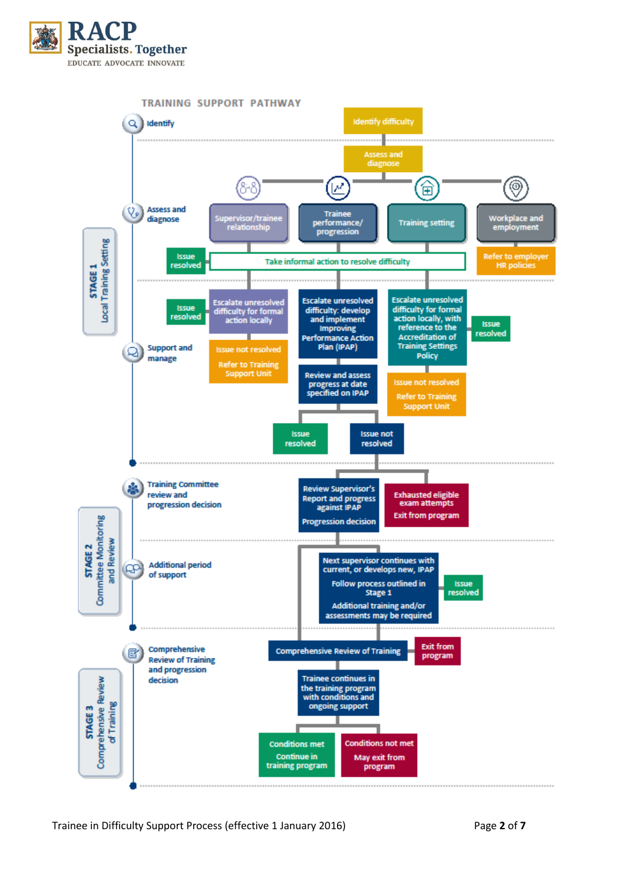

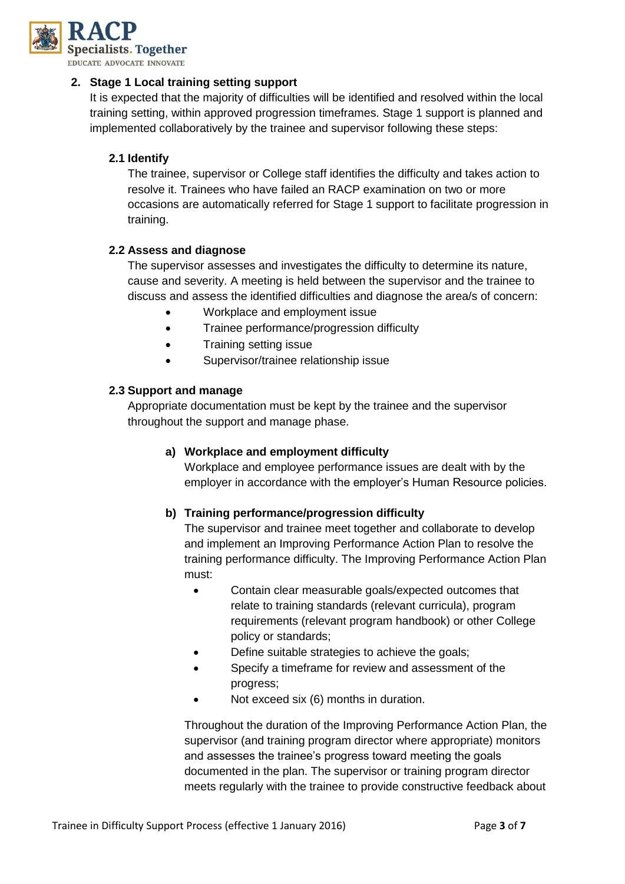

#### **2. Stage 1 Local training setting support**

It is expected that the majority of difficulties will be identified and resolved within the local training setting, within approved progression timeframes. Stage 1 support is planned and implemented collaboratively by the trainee and supervisor following these steps:

## **2.1 Identify**

The trainee, supervisor or College staff identifies the difficulty and takes action to resolve it. Trainees who have failed an RACP examination on two or more occasions are automatically referred for Stage 1 support to facilitate progression in training.

#### **2.2 Assess and diagnose**

The supervisor assesses and investigates the difficulty to determine its nature, cause and severity. A meeting is held between the supervisor and the trainee to discuss and assess the identified difficulties and diagnose the area/s of concern:

- Workplace and employment issue
- Trainee performance/progression difficulty
- Training setting issue
- Supervisor/trainee relationship issue

#### **2.3 Support and manage**

Appropriate documentation must be kept by the trainee and the supervisor throughout the support and manage phase.

#### **a) Workplace and employment difficulty**

Workplace and employee performance issues are dealt with by the employer in accordance with the employer's Human Resource policies.

#### **b) Training performance/progression difficulty**

The supervisor and trainee meet together and collaborate to develop and implement an Improving Performance Action Plan to resolve the training performance difficulty. The Improving Performance Action Plan must:

- Contain clear measurable goals/expected outcomes that relate to training standards (relevant curricula), program requirements (relevant program handbook) or other College policy or standards;
- Define suitable strategies to achieve the goals;
- Specify a timeframe for review and assessment of the progress;
- Not exceed six (6) months in duration.

Throughout the duration of the Improving Performance Action Plan, the supervisor (and training program director where appropriate) monitors and assesses the trainee's progress toward meeting the goals documented in the plan. The supervisor or training program director meets regularly with the trainee to provide constructive feedback about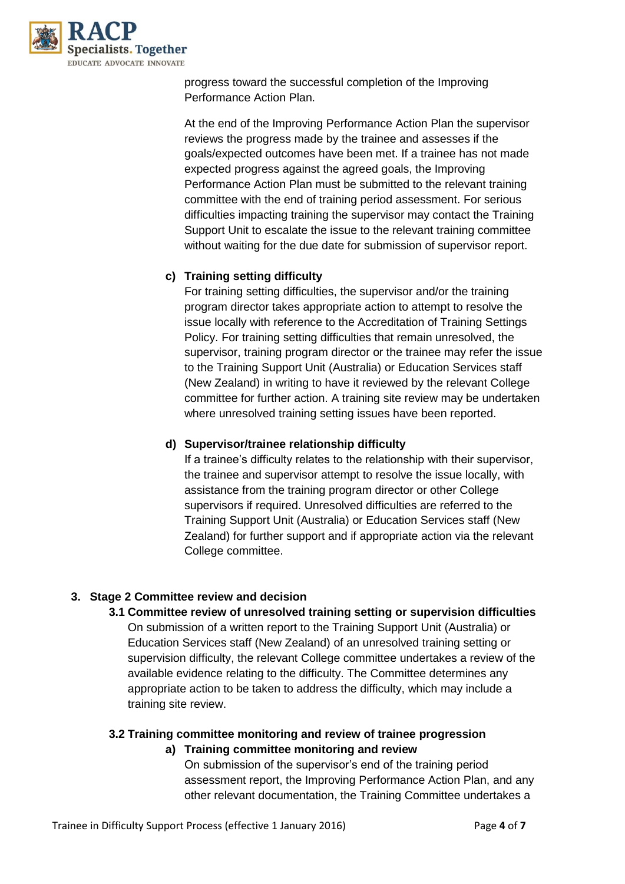

progress toward the successful completion of the Improving Performance Action Plan.

At the end of the Improving Performance Action Plan the supervisor reviews the progress made by the trainee and assesses if the goals/expected outcomes have been met. If a trainee has not made expected progress against the agreed goals, the Improving Performance Action Plan must be submitted to the relevant training committee with the end of training period assessment. For serious difficulties impacting training the supervisor may contact the Training Support Unit to escalate the issue to the relevant training committee without waiting for the due date for submission of supervisor report.

## **c) Training setting difficulty**

For training setting difficulties, the supervisor and/or the training program director takes appropriate action to attempt to resolve the issue locally with reference to the Accreditation of Training Settings Policy. For training setting difficulties that remain unresolved, the supervisor, training program director or the trainee may refer the issue to the Training Support Unit (Australia) or Education Services staff (New Zealand) in writing to have it reviewed by the relevant College committee for further action. A training site review may be undertaken where unresolved training setting issues have been reported.

### **d) Supervisor/trainee relationship difficulty**

If a trainee's difficulty relates to the relationship with their supervisor, the trainee and supervisor attempt to resolve the issue locally, with assistance from the training program director or other College supervisors if required. Unresolved difficulties are referred to the Training Support Unit (Australia) or Education Services staff (New Zealand) for further support and if appropriate action via the relevant College committee.

#### **3. Stage 2 Committee review and decision**

**3.1 Committee review of unresolved training setting or supervision difficulties**  On submission of a written report to the Training Support Unit (Australia) or Education Services staff (New Zealand) of an unresolved training setting or supervision difficulty, the relevant College committee undertakes a review of the available evidence relating to the difficulty. The Committee determines any appropriate action to be taken to address the difficulty, which may include a training site review.

#### **3.2 Training committee monitoring and review of trainee progression**

#### **a) Training committee monitoring and review**

On submission of the supervisor's end of the training period assessment report, the Improving Performance Action Plan, and any other relevant documentation, the Training Committee undertakes a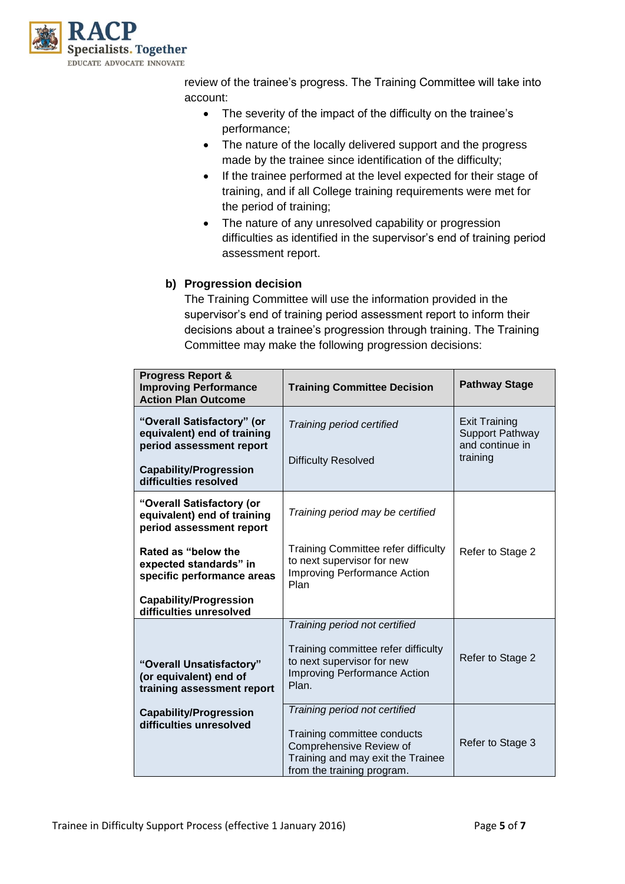

review of the trainee's progress. The Training Committee will take into account:

- The severity of the impact of the difficulty on the trainee's performance;
- The nature of the locally delivered support and the progress made by the trainee since identification of the difficulty;
- If the trainee performed at the level expected for their stage of training, and if all College training requirements were met for the period of training;
- The nature of any unresolved capability or progression difficulties as identified in the supervisor's end of training period assessment report.

## **b) Progression decision**

The Training Committee will use the information provided in the supervisor's end of training period assessment report to inform their decisions about a trainee's progression through training. The Training Committee may make the following progression decisions:

| <b>Progress Report &amp;</b><br><b>Improving Performance</b><br><b>Action Plan Outcome</b> | <b>Training Committee Decision</b>                                                                                                                         | <b>Pathway Stage</b>                                              |
|--------------------------------------------------------------------------------------------|------------------------------------------------------------------------------------------------------------------------------------------------------------|-------------------------------------------------------------------|
| "Overall Satisfactory" (or<br>equivalent) end of training<br>period assessment report      | Training period certified                                                                                                                                  | <b>Exit Training</b><br><b>Support Pathway</b><br>and continue in |
| <b>Capability/Progression</b><br>difficulties resolved                                     | <b>Difficulty Resolved</b>                                                                                                                                 | training                                                          |
| "Overall Satisfactory (or<br>equivalent) end of training<br>period assessment report       | Training period may be certified                                                                                                                           |                                                                   |
| Rated as "below the<br>expected standards" in<br>specific performance areas                | <b>Training Committee refer difficulty</b><br>to next supervisor for new<br><b>Improving Performance Action</b><br>Plan                                    | Refer to Stage 2                                                  |
| <b>Capability/Progression</b><br>difficulties unresolved                                   |                                                                                                                                                            |                                                                   |
| "Overall Unsatisfactory"<br>(or equivalent) end of<br>training assessment report           | Training period not certified<br>Training committee refer difficulty<br>to next supervisor for new<br><b>Improving Performance Action</b><br>Plan.         | Refer to Stage 2                                                  |
| <b>Capability/Progression</b><br>difficulties unresolved                                   | Training period not certified<br>Training committee conducts<br>Comprehensive Review of<br>Training and may exit the Trainee<br>from the training program. | Refer to Stage 3                                                  |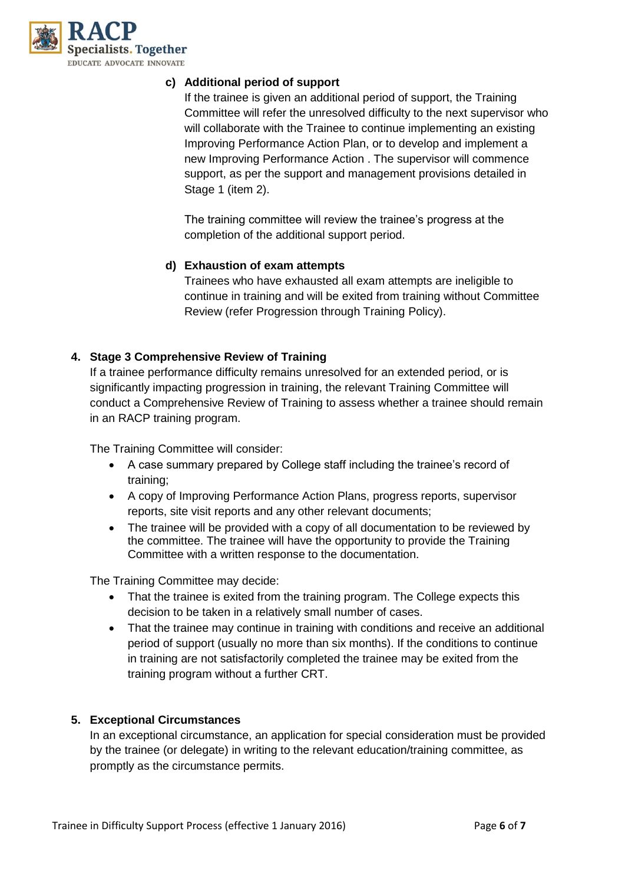

## **c) Additional period of support**

If the trainee is given an additional period of support, the Training Committee will refer the unresolved difficulty to the next supervisor who will collaborate with the Trainee to continue implementing an existing Improving Performance Action Plan, or to develop and implement a new Improving Performance Action . The supervisor will commence support, as per the support and management provisions detailed in Stage 1 (item 2).

The training committee will review the trainee's progress at the completion of the additional support period.

## **d) Exhaustion of exam attempts**

Trainees who have exhausted all exam attempts are ineligible to continue in training and will be exited from training without Committee Review (refer Progression through Training Policy).

## **4. Stage 3 Comprehensive Review of Training**

If a trainee performance difficulty remains unresolved for an extended period, or is significantly impacting progression in training, the relevant Training Committee will conduct a Comprehensive Review of Training to assess whether a trainee should remain in an RACP training program.

The Training Committee will consider:

- A case summary prepared by College staff including the trainee's record of training;
- A copy of Improving Performance Action Plans, progress reports, supervisor reports, site visit reports and any other relevant documents;
- The trainee will be provided with a copy of all documentation to be reviewed by the committee. The trainee will have the opportunity to provide the Training Committee with a written response to the documentation.

The Training Committee may decide:

- That the trainee is exited from the training program. The College expects this decision to be taken in a relatively small number of cases.
- That the trainee may continue in training with conditions and receive an additional period of support (usually no more than six months). If the conditions to continue in training are not satisfactorily completed the trainee may be exited from the training program without a further CRT.

#### **5. Exceptional Circumstances**

In an exceptional circumstance, an application for special consideration must be provided by the trainee (or delegate) in writing to the relevant education/training committee, as promptly as the circumstance permits.